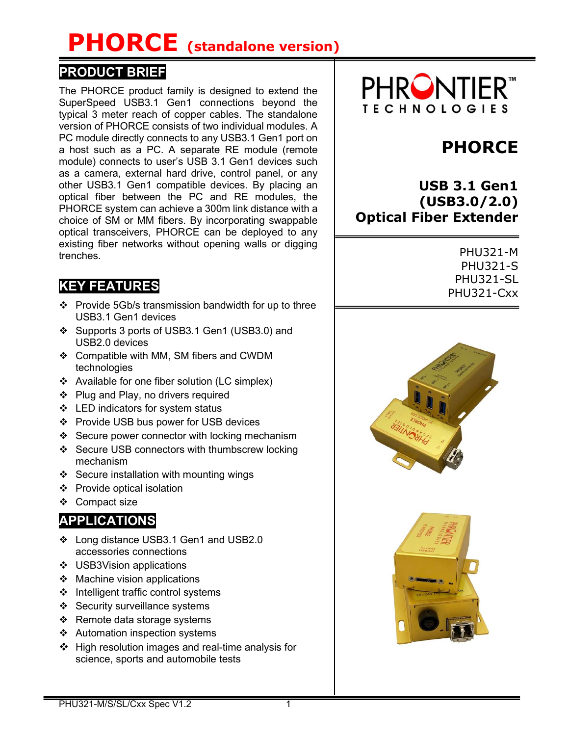# PHORCE (standalone version)

### PRODUCT BRIEF

The PHORCE product family is designed to extend the SuperSpeed USB3.1 Gen1 connections beyond the typical 3 meter reach of copper cables. The standalone version of PHORCE consists of two individual modules. A PC module directly connects to any USB3.1 Gen1 port on a host such as a PC. A separate RE module (remote module) connects to user's USB 3.1 Gen1 devices such as a camera, external hard drive, control panel, or any other USB3.1 Gen1 compatible devices. By placing an optical fiber between the PC and RE modules, the PHORCE system can achieve a 300m link distance with a choice of SM or MM fibers. By incorporating swappable optical transceivers, PHORCE can be deployed to any existing fiber networks without opening walls or digging trenches.

### KEY FEATURES

- $\div$  Provide 5Gb/s transmission bandwidth for up to three USB3.1 Gen1 devices
- Supports 3 ports of USB3.1 Gen1 (USB3.0) and USB2.0 devices
- Compatible with MM, SM fibers and CWDM technologies
- Available for one fiber solution (LC simplex)
- ❖ Plug and Play, no drivers required
- ❖ LED indicators for system status
- ❖ Provide USB bus power for USB devices
- ❖ Secure power connector with locking mechanism
- ❖ Secure USB connectors with thumbscrew locking mechanism
- ❖ Secure installation with mounting wings
- ❖ Provide optical isolation
- ❖ Compact size

## **APPLICATIONS**

- Long distance USB3.1 Gen1 and USB2.0 accessories connections
- ❖ USB3Vision applications
- $\div$  Machine vision applications
- ❖ Intelligent traffic control systems
- ❖ Security surveillance systems
- $\div$  Remote data storage systems
- Automation inspection systems
- $\div$  High resolution images and real-time analysis for science, sports and automobile tests



# PHORCE

USB 3.1 Gen1 (USB3.0/2.0) Optical Fiber Extender

> PHU321-M PHU321-S PHU321-SL PHU321-Cxx



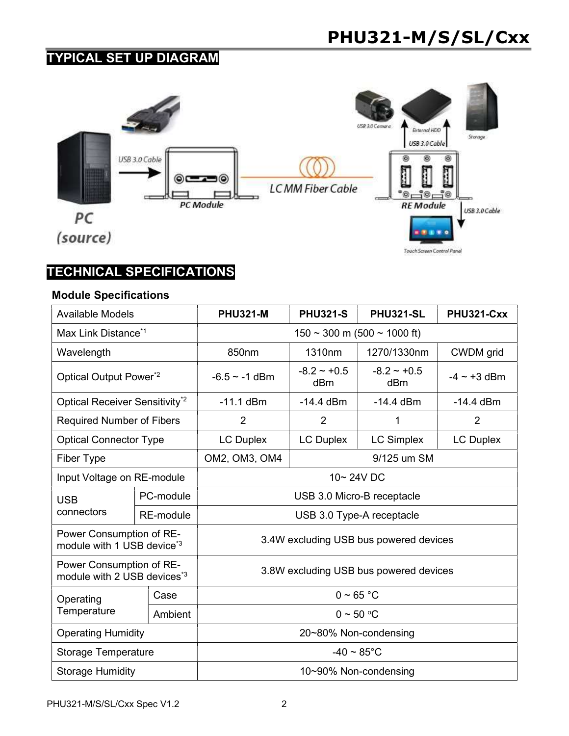## TYPICAL SET UP DIAGRAM



## TECHNICAL SPECIFICATIONS

#### Module Specifications

| <b>Available Models</b>                                             |                  | <b>PHU321-M</b>                        | <b>PHU321-S</b>      | <b>PHU321-SL</b>        | PHU321-Cxx       |  |
|---------------------------------------------------------------------|------------------|----------------------------------------|----------------------|-------------------------|------------------|--|
| Max Link Distance <sup>*1</sup>                                     |                  | $150 \sim 300$ m (500 $\sim 1000$ ft)  |                      |                         |                  |  |
| Wavelength                                                          |                  | 850nm                                  | 1310nm               | 1270/1330nm             | CWDM grid        |  |
| Optical Output Power*2                                              |                  | $-6.5 \sim -1$ dBm                     | $-8.2 - +0.5$<br>dBm | $-8.2 \sim +0.5$<br>dBm | $-4 \sim +3$ dBm |  |
| Optical Receiver Sensitivity <sup>*2</sup>                          |                  | $-11.1$ dBm                            | $-14.4$ dBm          | $-14.4$ dBm             | $-14.4$ dBm      |  |
| <b>Required Number of Fibers</b>                                    |                  | $\overline{2}$                         | 2                    | 1                       | $\overline{2}$   |  |
| <b>Optical Connector Type</b>                                       |                  | <b>LC Duplex</b>                       | <b>LC Duplex</b>     | <b>LC Simplex</b>       | <b>LC Duplex</b> |  |
| Fiber Type                                                          |                  | OM2, OM3, OM4                          | 9/125 um SM          |                         |                  |  |
| Input Voltage on RE-module                                          |                  | 10~24VDC                               |                      |                         |                  |  |
| <b>USB</b>                                                          | PC-module        | USB 3.0 Micro-B receptacle             |                      |                         |                  |  |
| connectors                                                          | <b>RE-module</b> | USB 3.0 Type-A receptacle              |                      |                         |                  |  |
| Power Consumption of RE-<br>module with 1 USB device <sup>*3</sup>  |                  | 3.4W excluding USB bus powered devices |                      |                         |                  |  |
| Power Consumption of RE-<br>module with 2 USB devices <sup>*3</sup> |                  | 3.8W excluding USB bus powered devices |                      |                         |                  |  |
| Operating<br>Temperature                                            | Case             | $0 - 65 °C$                            |                      |                         |                  |  |
|                                                                     | Ambient          | $0 \sim 50$ °C                         |                      |                         |                  |  |
| <b>Operating Humidity</b>                                           |                  | 20~80% Non-condensing                  |                      |                         |                  |  |
| <b>Storage Temperature</b>                                          |                  | $-40 \sim 85^{\circ}$ C                |                      |                         |                  |  |
| <b>Storage Humidity</b>                                             |                  | 10~90% Non-condensing                  |                      |                         |                  |  |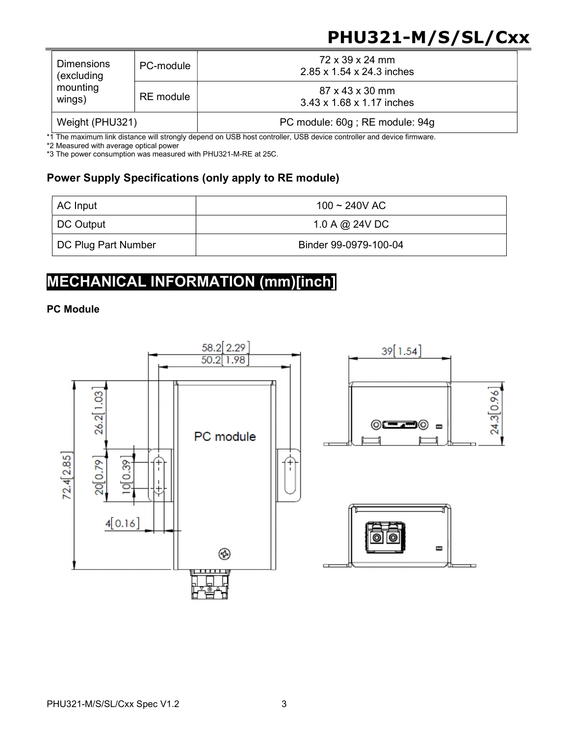# PHU321-M/S/SL/Cxx

| <b>Dimensions</b><br>(excluding<br>mounting<br>wings) | PC-module | 72 x 39 x 24 mm<br>2.85 x 1.54 x 24.3 inches |  |
|-------------------------------------------------------|-----------|----------------------------------------------|--|
|                                                       | RE module | 87 x 43 x 30 mm<br>3.43 x 1.68 x 1.17 inches |  |
| Weight (PHU321)                                       |           | PC module: 60g; RE module: 94g               |  |

\*1 The maximum link distance will strongly depend on USB host controller, USB device controller and device firmware.

\*2 Measured with average optical power

\*3 The power consumption was measured with PHU321-M-RE at 25C.

#### Power Supply Specifications (only apply to RE module)

| AC Input            | 100 ~ 240V AC         |  |  |
|---------------------|-----------------------|--|--|
| DC Output           | 1.0 A @ 24V DC        |  |  |
| DC Plug Part Number | Binder 99-0979-100-04 |  |  |

# MECHANICAL INFORMATION (mm)[inch]

#### PC Module

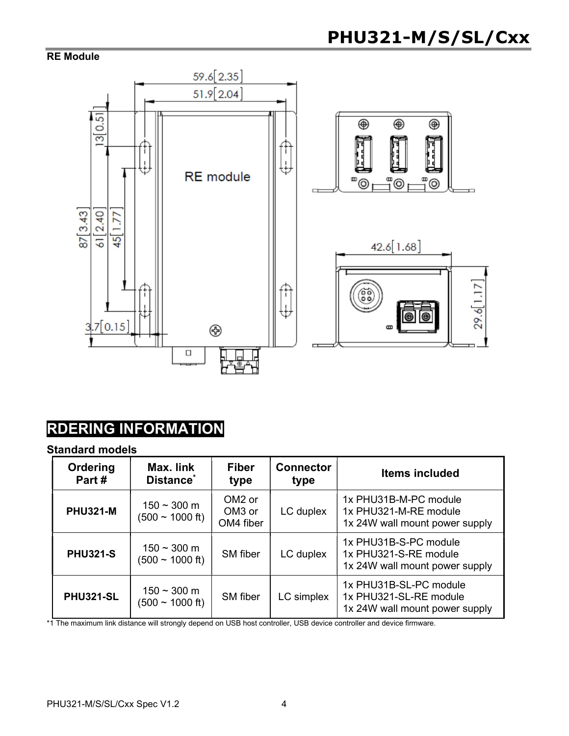#### RE Module



# RDERING INFORMATION

#### Standard models

| Ordering<br>Part# | Max. link<br>Distance*                        | <b>Fiber</b><br>type                                  | <b>Connector</b><br>type | <b>Items included</b>                                                              |
|-------------------|-----------------------------------------------|-------------------------------------------------------|--------------------------|------------------------------------------------------------------------------------|
| <b>PHU321-M</b>   | $150 - 300$ m<br>$(500 \sim 1000 \text{ ft})$ | OM <sub>2</sub> or<br>OM <sub>3</sub> or<br>OM4 fiber | LC duplex                | 1x PHU31B-M-PC module<br>1x PHU321-M-RE module<br>1x 24W wall mount power supply   |
| <b>PHU321-S</b>   | $150 - 300$ m<br>$(500 \sim 1000 \text{ ft})$ | SM fiber                                              | LC duplex                | 1x PHU31B-S-PC module<br>1x PHU321-S-RE module<br>1x 24W wall mount power supply   |
| <b>PHU321-SL</b>  | $150 - 300$ m<br>$(500 \sim 1000 \text{ ft})$ | <b>SM</b> fiber                                       | LC simplex               | 1x PHU31B-SL-PC module<br>1x PHU321-SL-RE module<br>1x 24W wall mount power supply |

\*1 The maximum link distance will strongly depend on USB host controller, USB device controller and device firmware.